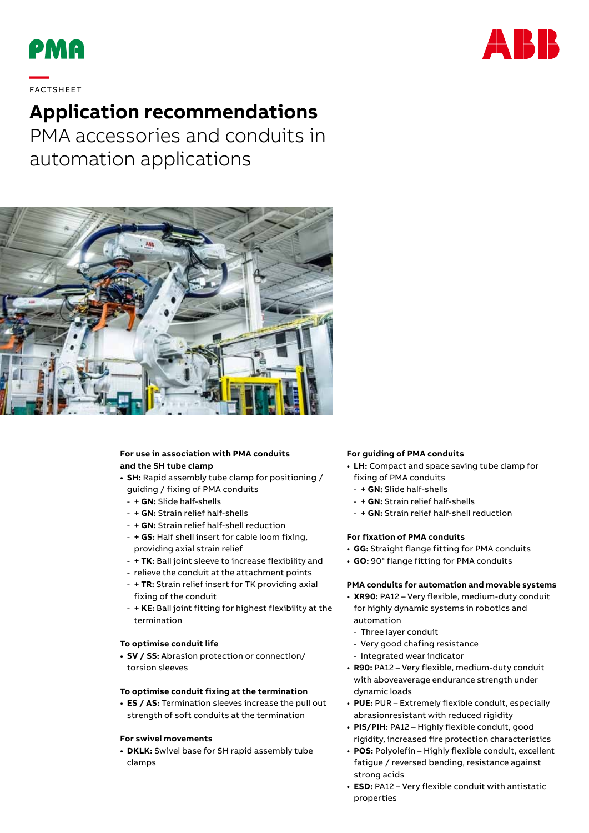



# **—**  FAC TS H EE T

## **Application recommendations**

PMA accessories and conduits in automation applications



### **For use in association with PMA conduits and the SH tube clamp**

- **• SH:** Rapid assembly tube clamp for positioning / guiding / fixing of PMA conduits
	- **+ GN:** Slide half-shells
	- **+ GN:** Strain relief half-shells
	- **+ GN:** Strain relief half-shell reduction
	- **+ GS:** Half shell insert for cable loom fixing, providing axial strain relief
	- **+ TK:** Ball joint sleeve to increase flexibility and
	- relieve the conduit at the attachment points
	- **+ TR:** Strain relief insert for TK providing axial fixing of the conduit
	- **+ KE:** Ball joint fitting for highest flexibility at the termination

#### **To optimise conduit life**

**• SV / SS:** Abrasion protection or connection/ torsion sleeves

#### **To optimise conduit fixing at the termination**

**• ES / AS:** Termination sleeves increase the pull out strength of soft conduits at the termination

#### **For swivel movements**

**• DKLK:** Swivel base for SH rapid assembly tube clamps

#### **For guiding of PMA conduits**

- **• LH:** Compact and space saving tube clamp for fixing of PMA conduits
- **+ GN:** Slide half-shells
- **+ GN:** Strain relief half-shells
- **+ GN:** Strain relief half-shell reduction

#### **For fixation of PMA conduits**

- **• GG:** Straight flange fitting for PMA conduits
- **• GO:** 90° flange fitting for PMA conduits

#### **PMA conduits for automation and movable systems**

- **• XR90:** PA12 Very flexible, medium-duty conduit for highly dynamic systems in robotics and automation
	- Three layer conduit
	- Very good chafing resistance
- Integrated wear indicator
- **• R90:** PA12 Very flexible, medium-duty conduit with aboveaverage endurance strength under dynamic loads
- **• PUE:** PUR Extremely flexible conduit, especially abrasionresistant with reduced rigidity
- **• PIS/PIH:** PA12 Highly flexible conduit, good rigidity, increased fire protection characteristics
- **• POS:** Polyolefin Highly flexible conduit, excellent fatigue / reversed bending, resistance against strong acids
- **• ESD:** PA12 Very flexible conduit with antistatic properties